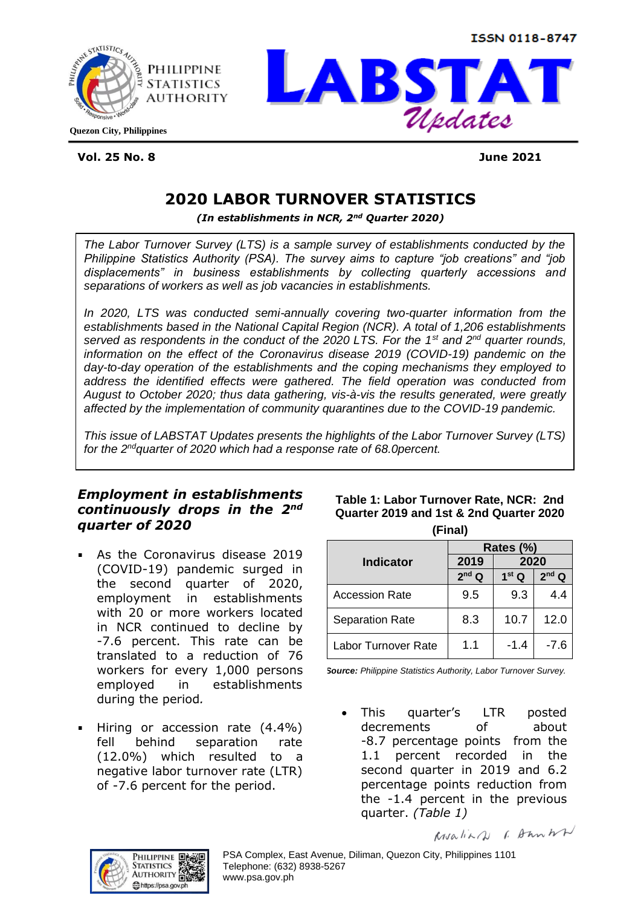**ISSN 0118-8747** 





**Vol. 25 No. 8 June 2021**

# **2020 LABOR TURNOVER STATISTICS**

*(In establishments in NCR, 2nd Quarter 2020)*

*The Labor Turnover Survey (LTS) is a sample survey of establishments conducted by the Philippine Statistics Authority (PSA). The survey aims to capture "job creations" and "job displacements" in business establishments by collecting quarterly accessions and separations of workers as well as job vacancies in establishments.* 

*In 2020, LTS was conducted semi-annually covering two-quarter information from the establishments based in the National Capital Region (NCR). A total of 1,206 establishments served as respondents in the conduct of the 2020 LTS. For the 1st and 2nd quarter rounds, information on the effect of the Coronavirus disease 2019 (COVID-19) pandemic on the day-to-day operation of the establishments and the coping mechanisms they employed to address the identified effects were gathered. The field operation was conducted from August to October 2020; thus data gathering, vis-à-vis the results generated, were greatly affected by the implementation of community quarantines due to the COVID-19 pandemic.*

*This issue of LABSTAT Updates presents the highlights of the Labor Turnover Survey (LTS) for the 2 ndquarter of 2020 which had a response rate of 68.0percent.*

## *Employment in establishments continuously drops in the 2nd quarter of 2020*

- As the Coronavirus disease 2019 (COVID-19) pandemic surged in the second quarter of 2020, employment in establishments with 20 or more workers located in NCR continued to decline by -7.6 percent. This rate can be translated to a reduction of 76 workers for every 1,000 persons employed in establishments during the period*.*
- Hiring or accession rate (4.4%) fell behind separation rate (12.0%) which resulted to a negative labor turnover rate (LTR) of -7.6 percent for the period.

| Table 1: Labor Turnover Rate, NCR: 2nd  |
|-----------------------------------------|
| Quarter 2019 and 1st & 2nd Quarter 2020 |
| (Final)                                 |

| .                      |                   |                   |                   |  |  |
|------------------------|-------------------|-------------------|-------------------|--|--|
|                        | Rates (%)         |                   |                   |  |  |
| <b>Indicator</b>       | 2019<br>2020      |                   |                   |  |  |
|                        | 2 <sup>nd</sup> Q | 1 <sup>st</sup> Q | 2 <sup>nd</sup> Q |  |  |
| <b>Accession Rate</b>  | 9.5               | 9.3               | 4.4               |  |  |
| <b>Separation Rate</b> | 8.3               | 10.7              | 12.0              |  |  |
| Labor Turnover Rate    | 1.1               | $-1.4$            | $-7.6$            |  |  |

*Source: Philippine Statistics Authority, Labor Turnover Survey.*

This quarter's LTR posted decrements of about -8.7 percentage points from the 1.1 percent recorded in the second quarter in 2019 and 6.2 percentage points reduction from the -1.4 percent in the previous quarter. *(Table 1)*

Rovaliar 1. Dan WN



PSA Complex, East Avenue, Diliman, Quezon City, Philippines 1101 Telephone: (632) 8938-5267 www.psa.gov.ph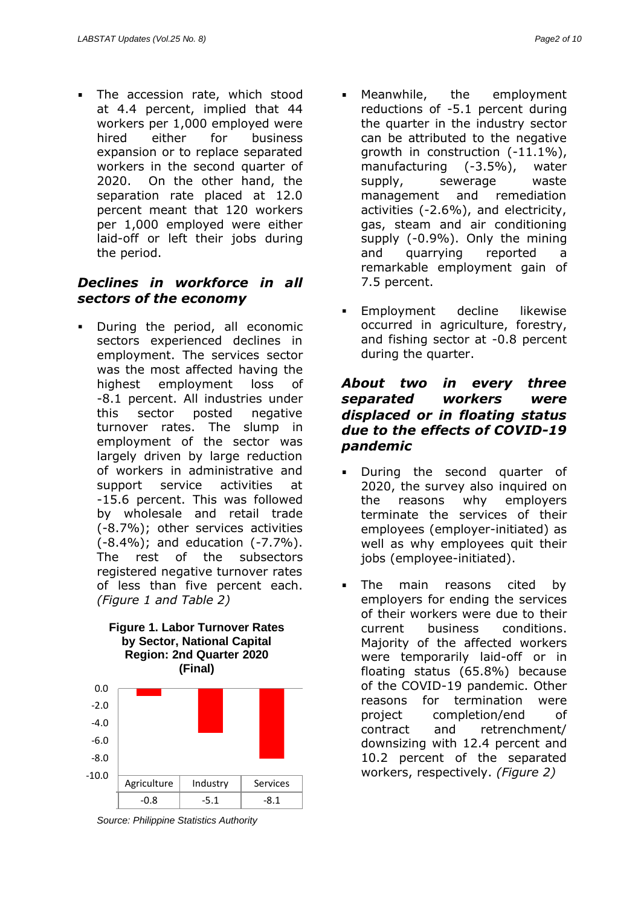The accession rate, which stood at 4.4 percent, implied that 44 workers per 1,000 employed were hired either for business expansion or to replace separated workers in the second quarter of 2020. On the other hand, the separation rate placed at 12.0 percent meant that 120 workers per 1,000 employed were either laid-off or left their jobs during the period.

## *Declines in workforce in all sectors of the economy*

During the period, all economic sectors experienced declines in employment. The services sector was the most affected having the highest employment loss of -8.1 percent. All industries under this sector posted negative turnover rates. The slump in employment of the sector was largely driven by large reduction of workers in administrative and support service activities at -15.6 percent. This was followed by wholesale and retail trade (-8.7%); other services activities (-8.4%); and education (-7.7%). The rest of the subsectors registered negative turnover rates of less than five percent each. *(Figure 1 and Table 2)*





*Source: Philippine Statistics Authority*

- Meanwhile, the employment reductions of -5.1 percent during the quarter in the industry sector can be attributed to the negative growth in construction (-11.1%), manufacturing (-3.5%), water supply, sewerage waste management and remediation activities (-2.6%), and electricity, gas, steam and air conditioning supply (-0.9%). Only the mining and quarrying reported a remarkable employment gain of 7.5 percent.
- Employment decline likewise occurred in agriculture, forestry, and fishing sector at -0.8 percent during the quarter.

### *About two in every three separated workers were displaced or in floating status due to the effects of COVID-19 pandemic*

- During the second quarter of 2020, the survey also inquired on the reasons why employers terminate the services of their employees (employer-initiated) as well as why employees quit their jobs (employee-initiated).
- The main reasons cited by employers for ending the services of their workers were due to their current business conditions. Majority of the affected workers were temporarily laid-off or in floating status (65.8%) because of the COVID-19 pandemic. Other reasons for termination were project completion/end of contract and retrenchment/ downsizing with 12.4 percent and 10.2 percent of the separated workers, respectively. *(Figure 2)*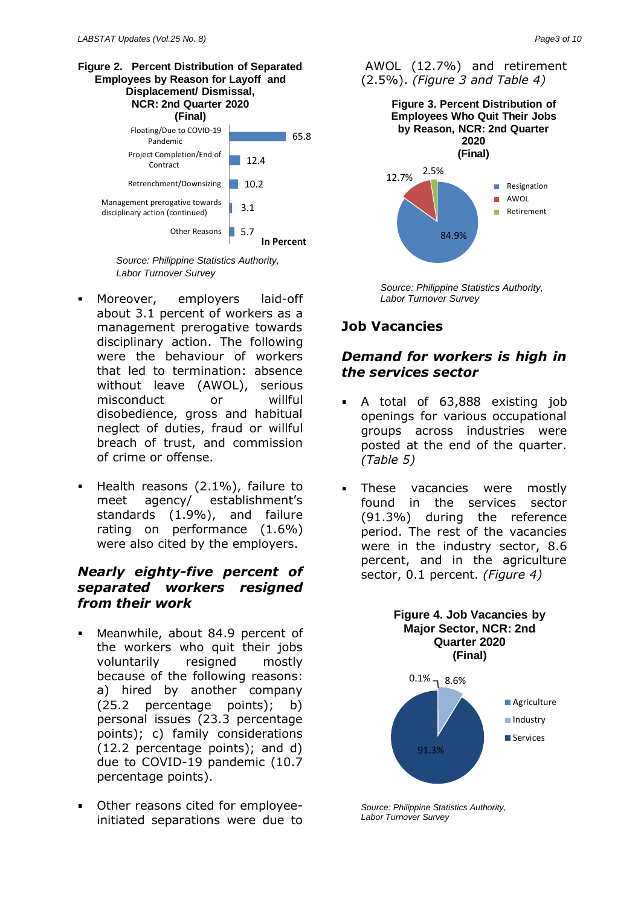

*Source: Philippine Statistics Authority, Labor Turnover Survey*

- $\mathbf{m} = 0$ Moreover, employers laid-off about 3.1 percent of workers as a management prerogative towards disciplinary action. The following were the behaviour of workers that led to termination: absence without leave (AWOL), serious misconduct or willful disobedience, gross and habitual neglect of duties, fraud or willful breach of trust, and commission of crime or offense.
- Health reasons (2.1%), failure to meet agency/ establishment's standards (1.9%), and failure rating on performance (1.6%) were also cited by the employers.

## *Nearly eighty-five percent of separated workers resigned from their work*

- Meanwhile, about 84.9 percent of the workers who quit their jobs voluntarily resigned mostly because of the following reasons: a) hired by another company (25.2 percentage points); b) personal issues (23.3 percentage points); c) family considerations (12.2 percentage points); and d) due to COVID-19 pandemic (10.7 percentage points).
- Other reasons cited for employee- $\mathbf{m} = 0$ initiated separations were due to





*Source: Philippine Statistics Authority, Labor Turnover Survey*

## **Job Vacancies**

### *Demand for workers is high in the services sector*

- A total of 63,888 existing job openings for various occupational groups across industries were posted at the end of the quarter. *(Table 5)*
- These vacancies were mostly found in the services sector (91.3%) during the reference period. The rest of the vacancies were in the industry sector, 8.6 percent, and in the agriculture sector, 0.1 percent. *(Figure 4)*



**Figure 4. Job Vacancies by** 

*Source: Philippine Statistics Authority, Labor Turnover Survey*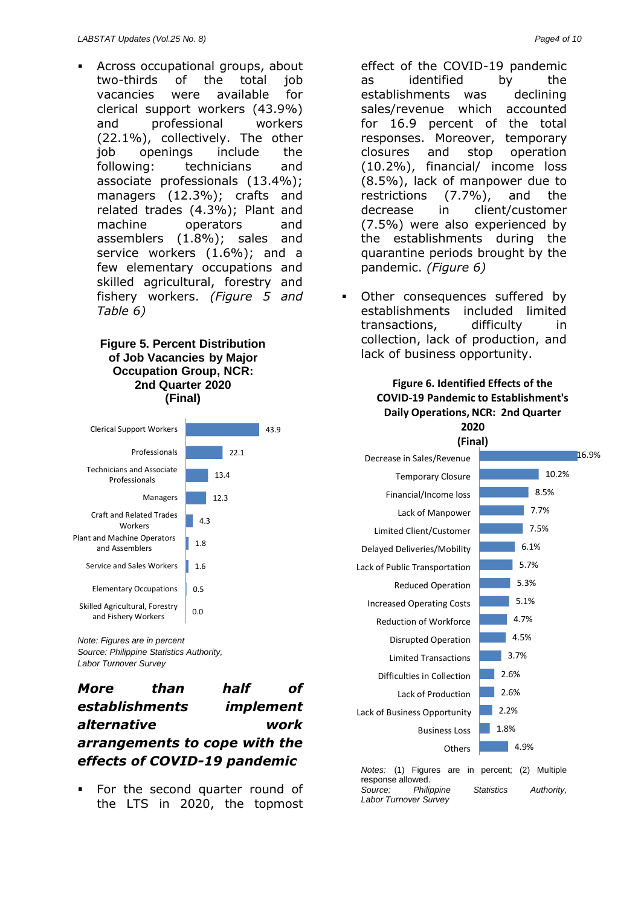Across occupational groups, about two-thirds of the total job vacancies were available for clerical support workers (43.9%) and professional workers (22.1%), collectively. The other job openings include the following: technicians and associate professionals (13.4%); managers (12.3%); crafts and related trades (4.3%); Plant and machine operators and assemblers (1.8%); sales and service workers (1.6%); and a few elementary occupations and skilled agricultural, forestry and fishery workers. *(Figure 5 and Table 6)*

#### **Figure 5. Percent Distribution of Job Vacancies by Major Occupation Group, NCR: 2nd Quarter 2020 (Final)**

| <b>Clerical Support Workers</b>                       |      |      |      | 43.9 |  |
|-------------------------------------------------------|------|------|------|------|--|
| Professionals                                         |      |      | 22.1 |      |  |
| <b>Technicians and Associate</b><br>Professionals     | 13.4 |      |      |      |  |
| Managers                                              |      | 12.3 |      |      |  |
| Craft and Related Trades<br>Workers                   | 4.3  |      |      |      |  |
| <b>Plant and Machine Operators</b><br>and Assemblers  | 1.8  |      |      |      |  |
| Service and Sales Workers                             | 1.6  |      |      |      |  |
| <b>Elementary Occupations</b>                         | 0.5  |      |      |      |  |
| Skilled Agricultural, Forestry<br>and Fishery Workers | 0.O  |      |      |      |  |
| Note: Figures are in percent                          |      |      |      |      |  |

*Source: Philippine Statistics Authority, Labor Turnover Survey*

*More than half of establishments implement alternative work arrangements to cope with the effects of COVID-19 pandemic* 

For the second quarter round of the LTS in 2020, the topmost effect of the COVID-19 pandemic as identified by the establishments was declining sales/revenue which accounted for 16.9 percent of the total responses. Moreover, temporary closures and stop operation (10.2%), financial/ income loss (8.5%), lack of manpower due to restrictions (7.7%), and the decrease in client/customer (7.5%) were also experienced by the establishments during the quarantine periods brought by the pandemic. *(Figure 6)*

Other consequences suffered by establishments included limited transactions, difficulty in collection, lack of production, and lack of business opportunity.

#### **Figure 6. Identified Effects of the COVID-19 Pandemic to Establishment's Daily Operations, NCR: 2nd Quarter 2020**



*Notes:* (1) Figures are in percent; (2) Multiple response allowed. *Source: Philippine Statistics Authority, Labor Turnover Survey*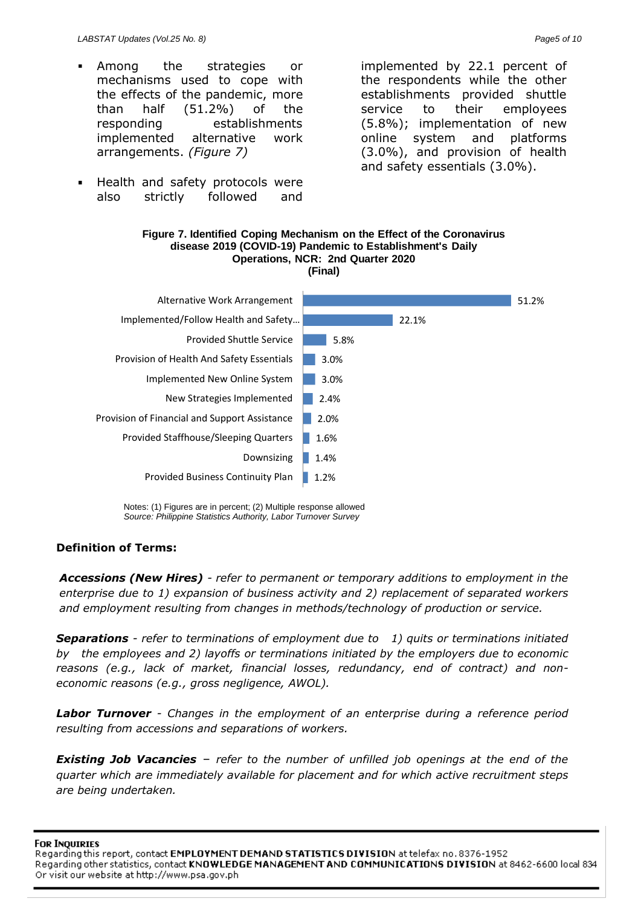- Among the strategies or mechanisms used to cope with the effects of the pandemic, more than half (51.2%) of the responding establishments implemented alternative work arrangements. *(Figure 7)*
- Health and safety protocols were also strictly followed and

implemented by 22.1 percent of the respondents while the other establishments provided shuttle service to their employees (5.8%); implementation of new online system and platforms (3.0%), and provision of health and safety essentials (3.0%).



**Figure 7. Identified Coping Mechanism on the Effect of the Coronavirus disease 2019 (COVID-19) Pandemic to Establishment's Daily** 

### **Definition of Terms:**

*Accessions (New Hires) - refer to permanent or temporary additions to employment in the enterprise due to 1) expansion of business activity and 2) replacement of separated workers and employment resulting from changes in methods/technology of production or service.*

*Separations - refer to terminations of employment due to 1) quits or terminations initiated by the employees and 2) layoffs or terminations initiated by the employers due to economic reasons (e.g., lack of market, financial losses, redundancy, end of contract) and noneconomic reasons (e.g., gross negligence, AWOL).*

*Labor Turnover - Changes in the employment of an enterprise during a reference period resulting from accessions and separations of workers.*

*Existing Job Vacancies* – *refer to the number of unfilled job openings at the end of the quarter which are immediately available for placement and for which active recruitment steps are being undertaken.*

**FOR INQUIRIES** 

Regarding this report, contact EMPLOYMENT DEMAND STATISTICS DIVISION at telefax no. 8376-1952 Regarding other statistics, contact KNOWLEDGE MANAGEMENT AND COMMUNICATIONS DIVISION at 8462-6600 local 834 Or visit our website at http://www.psa.gov.ph

Notes: (1) Figures are in percent; (2) Multiple response allowed *Source: Philippine Statistics Authority, Labor Turnover Survey*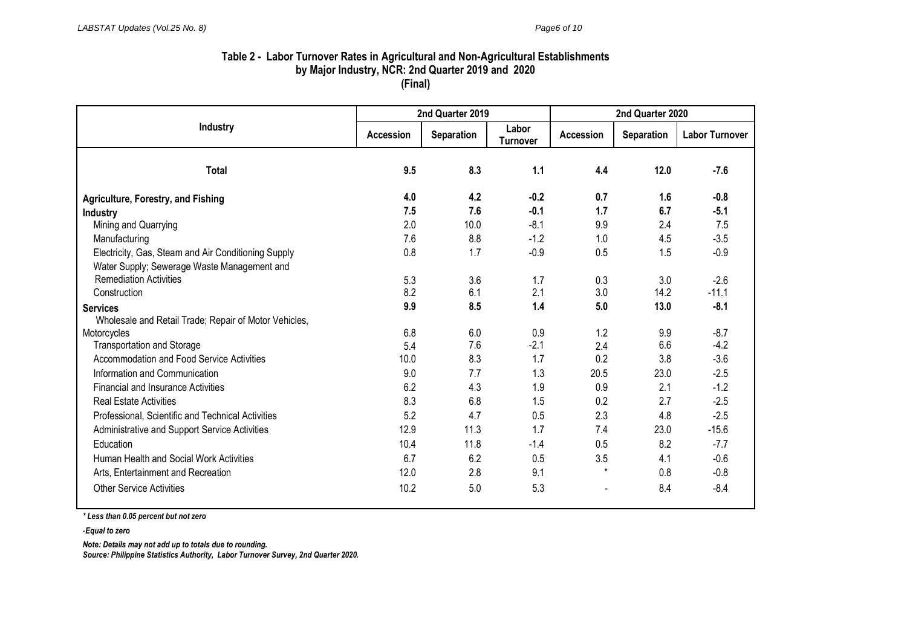#### **Table 2 - Labor Turnover Rates in Agricultural and Non-Agricultural Establishments by Major Industry, NCR: 2nd Quarter 2019 and 2020 (Final)**

|                                                       | 2nd Quarter 2019 |            | 2nd Quarter 2020         |           |                   |                       |
|-------------------------------------------------------|------------------|------------|--------------------------|-----------|-------------------|-----------------------|
| Industry                                              | Accession        | Separation | Labor<br><b>Turnover</b> | Accession | <b>Separation</b> | <b>Labor Turnover</b> |
| <b>Total</b>                                          | 9.5              | 8.3        | 1.1                      | 4.4       | 12.0              | $-7.6$                |
| <b>Agriculture, Forestry, and Fishing</b>             | 4.0              | 4.2        | $-0.2$                   | 0.7       | 1.6               | $-0.8$                |
| <b>Industry</b>                                       | 7.5              | 7.6        | $-0.1$                   | 1.7       | 6.7               | $-5.1$                |
| Mining and Quarrying                                  | 2.0              | 10.0       | $-8.1$                   | 9.9       | 2.4               | 7.5                   |
| Manufacturing                                         | 7.6              | 8.8        | $-1.2$                   | 1.0       | 4.5               | $-3.5$                |
| Electricity, Gas, Steam and Air Conditioning Supply   | 0.8              | 1.7        | $-0.9$                   | 0.5       | 1.5               | $-0.9$                |
| Water Supply; Sewerage Waste Management and           |                  |            |                          |           |                   |                       |
| <b>Remediation Activities</b>                         | 5.3              | 3.6        | 1.7                      | 0.3       | 3.0               | $-2.6$                |
| Construction                                          | 8.2              | 6.1        | 2.1                      | 3.0       | 14.2              | $-11.1$               |
| <b>Services</b>                                       | 9.9              | 8.5        | 1.4                      | 5.0       | 13.0              | $-8.1$                |
| Wholesale and Retail Trade; Repair of Motor Vehicles, |                  |            |                          |           |                   |                       |
| Motorcycles                                           | 6.8              | 6.0        | 0.9                      | 1.2       | 9.9               | $-8.7$                |
| <b>Transportation and Storage</b>                     | 5.4              | 7.6        | $-2.1$                   | 2.4       | 6.6               | $-4.2$                |
| Accommodation and Food Service Activities             | 10.0             | 8.3        | 1.7                      | 0.2       | 3.8               | $-3.6$                |
| Information and Communication                         | 9.0              | 7.7        | 1.3                      | 20.5      | 23.0              | $-2.5$                |
| <b>Financial and Insurance Activities</b>             | 6.2              | 4.3        | 1.9                      | 0.9       | 2.1               | $-1.2$                |
| <b>Real Estate Activities</b>                         | 8.3              | 6.8        | 1.5                      | 0.2       | 2.7               | $-2.5$                |
| Professional, Scientific and Technical Activities     | 5.2              | 4.7        | 0.5                      | 2.3       | 4.8               | $-2.5$                |
| Administrative and Support Service Activities         | 12.9             | 11.3       | 1.7                      | 7.4       | 23.0              | $-15.6$               |
| Education                                             | 10.4             | 11.8       | $-1.4$                   | 0.5       | 8.2               | $-7.7$                |
| Human Health and Social Work Activities               | 6.7              | 6.2        | 0.5                      | 3.5       | 4.1               | $-0.6$                |
| Arts, Entertainment and Recreation                    | 12.0             | 2.8        | 9.1                      | $\star$   | 0.8               | $-0.8$                |
| <b>Other Service Activities</b>                       | 10.2             | 5.0        | 5.3                      |           | 8.4               | $-8.4$                |

*\* Less than 0.05 percent but not zero*

-*Equal to zero*

*Note: Details may not add up to totals due to rounding.*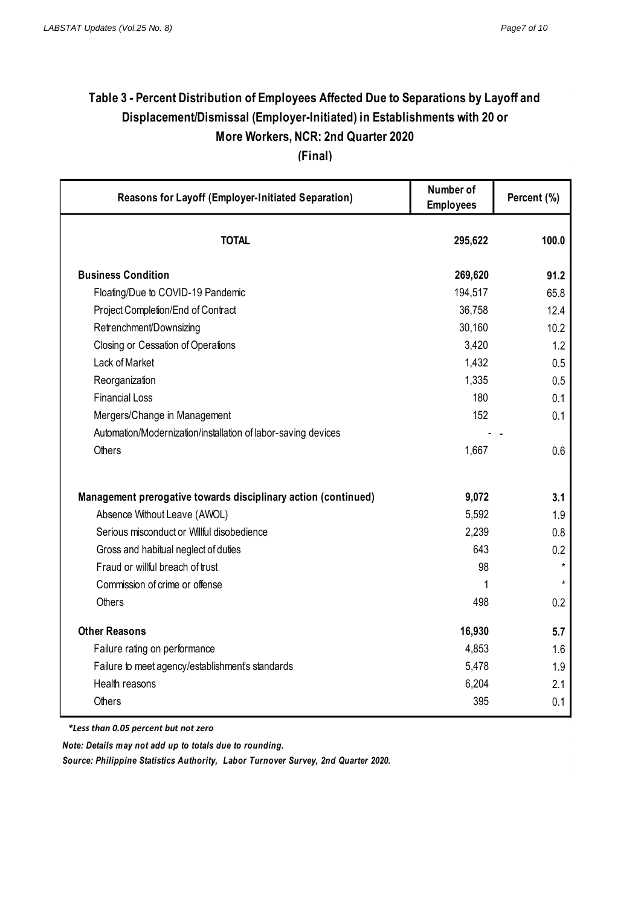# **Table 3 - Percent Distribution of Employees Affected Due to Separations by Layoff and Displacement/Dismissal (Employer-Initiated) in Establishments with 20 or More Workers, NCR: 2nd Quarter 2020**

**(Final)**

| Reasons for Layoff (Employer-Initiated Separation)             | Number of<br><b>Employees</b> | Percent (%) |  |
|----------------------------------------------------------------|-------------------------------|-------------|--|
| <b>TOTAL</b>                                                   | 295,622                       | 100.0       |  |
| <b>Business Condition</b>                                      | 269,620                       | 91.2        |  |
| Floating/Due to COVID-19 Pandemic                              | 194,517                       | 65.8        |  |
| Project Completion/End of Contract                             | 36,758                        | 12.4        |  |
| Retrenchment/Downsizing                                        | 30,160                        | 10.2        |  |
| Closing or Cessation of Operations                             | 3,420                         | 1.2         |  |
| Lack of Market                                                 | 1,432                         | 0.5         |  |
| Reorganization                                                 | 1,335                         | 0.5         |  |
| <b>Financial Loss</b>                                          | 180                           | 0.1         |  |
| Mergers/Change in Management                                   | 152                           | 0.1         |  |
| Automation/Modernization/installation of labor-saving devices  |                               |             |  |
| Others                                                         | 1,667                         | 0.6         |  |
| Management prerogative towards disciplinary action (continued) | 9,072                         | 3.1         |  |
| Absence Without Leave (AWOL)                                   | 5,592                         | 1.9         |  |
| Serious misconduct or Willful disobedience                     | 2,239                         | 0.8         |  |
| Gross and habitual neglect of duties                           | 643                           | 0.2         |  |
| Fraud or willful breach of trust                               | 98                            | $\star$     |  |
| Commission of crime or offense                                 | 1                             | $\star$     |  |
| Others                                                         | 498                           | 0.2         |  |
| <b>Other Reasons</b>                                           | 16,930                        | 5.7         |  |
| Failure rating on performance                                  | 4,853                         | 1.6         |  |
| Failure to meet agency/establishment's standards               | 5,478                         | 1.9         |  |
| Health reasons                                                 | 6,204                         | 2.1         |  |
| Others                                                         | 395                           | 0.1         |  |

*\* Less than 0.05 \*Less than 0.05 percent but not zero*

*Note: Details may not add up to totals due to rounding.*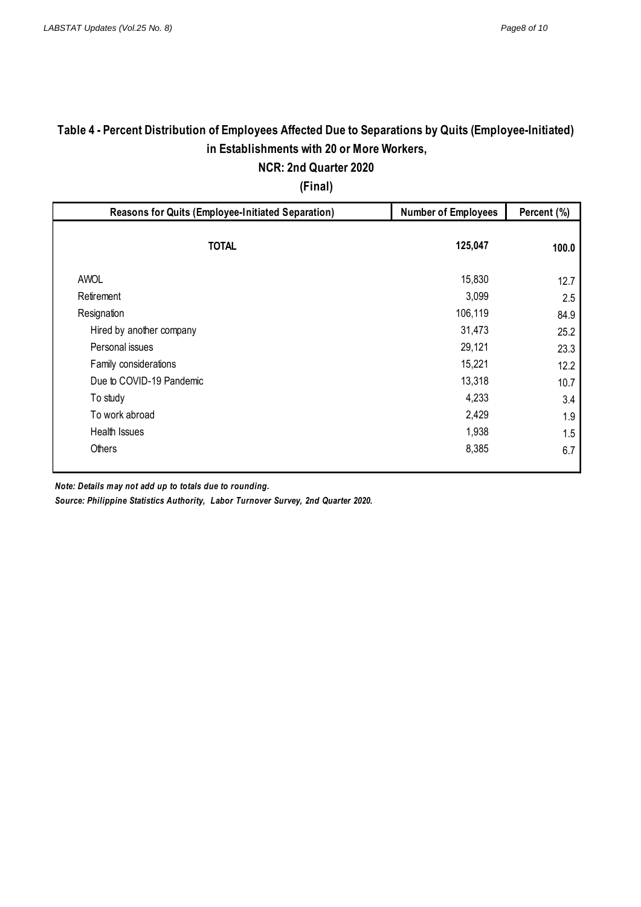# **Table 4 - Percent Distribution of Employees Affected Due to Separations by Quits (Employee-Initiated) in Establishments with 20 or More Workers,**

**NCR: 2nd Quarter 2020 (Final)**

| <b>Reasons for Quits (Employee-Initiated Separation)</b> | <b>Number of Employees</b> |       |
|----------------------------------------------------------|----------------------------|-------|
| <b>TOTAL</b>                                             | 125,047                    | 100.0 |
| <b>AWOL</b>                                              | 15,830                     | 12.7  |
| Retirement                                               | 3,099                      | 2.5   |
| Resignation                                              | 106,119                    | 84.9  |
| Hired by another company                                 | 31,473                     | 25.2  |
| Personal issues                                          | 29,121                     | 23.3  |
| Family considerations                                    | 15,221                     | 12.2  |
| Due to COVID-19 Pandemic                                 | 13,318                     | 10.7  |
| To study                                                 | 4,233                      | 3.4   |
| To work abroad                                           | 2,429                      | 1.9   |
| Health Issues                                            | 1,938                      | 1.5   |
| Others                                                   | 8,385                      | 6.7   |

*Note: Details may not add up to totals due to rounding.*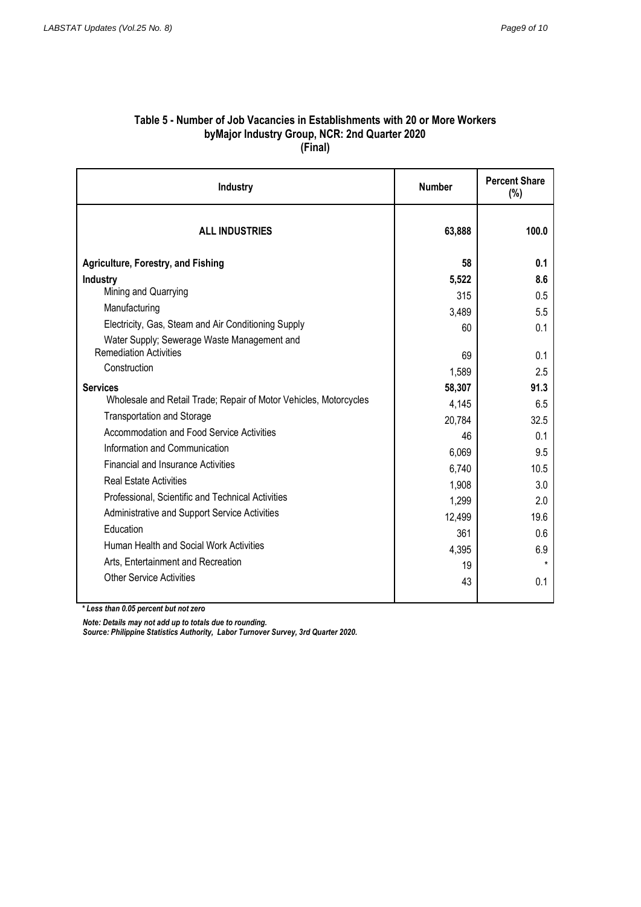#### **Table 5 - Number of Job Vacancies in Establishments with 20 or More Workers byMajor Industry Group, NCR: 2nd Quarter 2020 (Final)**

| <b>Industry</b>                                                                      | <b>Number</b> | <b>Percent Share</b><br>(%) |  |
|--------------------------------------------------------------------------------------|---------------|-----------------------------|--|
| <b>ALL INDUSTRIES</b>                                                                | 63,888        | 100.0                       |  |
| <b>Agriculture, Forestry, and Fishing</b>                                            | 58            | 0.1                         |  |
| Industry                                                                             | 5,522         | 8.6                         |  |
| Mining and Quarrying                                                                 | 315           | 0.5                         |  |
| Manufacturing                                                                        | 3,489         | 5.5                         |  |
| Electricity, Gas, Steam and Air Conditioning Supply                                  | 60            | 0.1                         |  |
| Water Supply; Sewerage Waste Management and<br><b>Remediation Activities</b>         |               |                             |  |
| Construction                                                                         | 69            | 0.1                         |  |
|                                                                                      | 1,589         | 2.5                         |  |
| <b>Services</b><br>Wholesale and Retail Trade; Repair of Motor Vehicles, Motorcycles | 58,307        | 91.3                        |  |
| <b>Transportation and Storage</b>                                                    | 4,145         | 6.5                         |  |
| Accommodation and Food Service Activities                                            | 20,784        | 32.5                        |  |
| Information and Communication                                                        | 46            | 0.1                         |  |
|                                                                                      | 6,069         | 9.5                         |  |
| <b>Financial and Insurance Activities</b>                                            | 6,740         | 10.5                        |  |
| <b>Real Estate Activities</b>                                                        | 1,908         | 3.0                         |  |
| Professional, Scientific and Technical Activities                                    | 1,299         | 2.0                         |  |
| Administrative and Support Service Activities                                        | 12,499        | 19.6                        |  |
| Education                                                                            | 361           | 0.6                         |  |
| Human Health and Social Work Activities                                              | 4,395         | 6.9                         |  |
| Arts. Entertainment and Recreation                                                   | 19            | $\star$                     |  |
| <b>Other Service Activities</b>                                                      | 43            | 0.1                         |  |
|                                                                                      |               |                             |  |

*\* Less than 0.05 percent but not zero*

*Note: Details may not add up to totals due to rounding.*